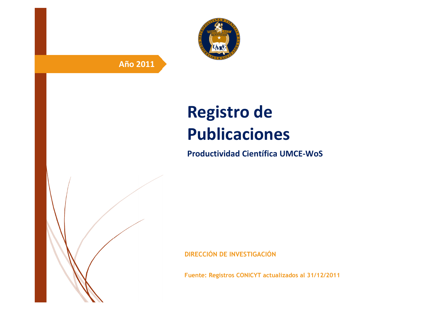

# **Año 2011**

# **Registro de Publicaciones**

**Productividad Científica UMCE-WoS** 

**DIRECCIÓN DE INVESTIGACIÓN**

**Fuente: Registros CONICYT actualizados al 31/12/2011**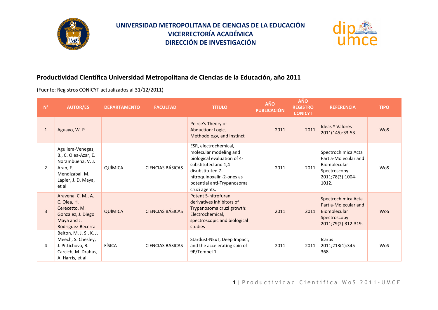



#### **Productividad Científica Universidad Metropolitana de Ciencias de la Educación, año 2011**

(Fuente: Registros CONICYT actualizados al 31/12/2011)

| $N^{\circ}$    | <b>AUTOR/ES</b>                                                                                                              | <b>DEPARTAMENTO</b> | <b>FACULTAD</b>         | <b>TÍTULO</b>                                                                                                                                                                                          | <b>AÑO</b><br><b>PUBLICACIÓN</b> | <b>AÑO</b><br><b>REGISTRO</b><br><b>CONICYT</b> | <b>REFERENCIA</b>                                                                                               | <b>TIPO</b> |
|----------------|------------------------------------------------------------------------------------------------------------------------------|---------------------|-------------------------|--------------------------------------------------------------------------------------------------------------------------------------------------------------------------------------------------------|----------------------------------|-------------------------------------------------|-----------------------------------------------------------------------------------------------------------------|-------------|
| $\mathbf{1}$   | Aguayo, W. P                                                                                                                 |                     |                         | Peirce's Theory of<br>Abduction: Logic,<br>Methodology, and Instinct                                                                                                                                   | 2011                             | 2011                                            | <b>Ideas Y Valores</b><br>2011(145):33-53.                                                                      | <b>WoS</b>  |
| $\overline{2}$ | Aguilera-Venegas,<br>B., C. Olea-Azar, E.<br>Norambuena, V. J.<br>Aran, F.<br>Mendizabal, M.<br>Lapier, J. D. Maya,<br>et al | QUÍMICA             | CIENCIAS BÁSICAS        | ESR, electrochemical,<br>molecular modeling and<br>biological evaluation of 4-<br>substituted and 1,4-<br>disubstituted 7-<br>nitroquinoxalin-2-ones as<br>potential anti-Trypanosoma<br>cruzi agents. | 2011                             | 2011                                            | Spectrochimica Acta<br>Part a-Molecular and<br><b>Biomolecular</b><br>Spectroscopy<br>2011;78(3):1004-<br>1012. | <b>WoS</b>  |
| $\overline{3}$ | Aravena, C. M., A.<br>C. Olea, H.<br>Cerecetto, M.<br>Gonzalez, J. Diego<br>Maya and J.<br>Rodriguez-Becerra.                | QUÍMICA             | <b>CIENCIAS BÁSICAS</b> | Potent 5-nitrofuran<br>derivatives inhibitors of<br>Trypanosoma cruzi growth:<br>Electrochemical,<br>spectroscopic and biological<br>studies                                                           | 2011                             | 2011                                            | Spectrochimica Acta<br>Part a-Molecular and<br>Biomolecular<br>Spectroscopy<br>2011;79(2):312-319.              | <b>WoS</b>  |
| 4              | Belton, M. J. S., K. J.<br>Meech, S. Chesley,<br>J. Pittichova, B.<br>Carcich, M. Drahus,<br>A. Harris, et al                | FÍSICA              | CIENCIAS BÁSICAS        | Stardust-NExT, Deep Impact,<br>and the accelerating spin of<br>9P/Tempel 1                                                                                                                             | 2011                             | 2011                                            | <b>Icarus</b><br>2011;213(1):345-<br>368.                                                                       | <b>WoS</b>  |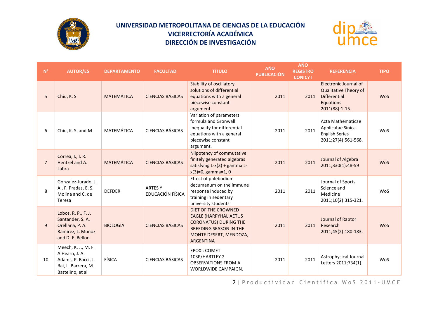



| $N^{\circ}$    | <b>AUTOR/ES</b>                                                                                         | <b>DEPARTAMENTO</b> | <b>FACULTAD</b>                    | <b>TÍTULO</b>                                                                                                                                                             | AÑO<br><b>PUBLICACIÓN</b> | <b>AÑO</b><br><b>REGISTRO</b><br><b>CONICYT</b> | <b>REFERENCIA</b>                                                                                    | <b>TIPO</b> |
|----------------|---------------------------------------------------------------------------------------------------------|---------------------|------------------------------------|---------------------------------------------------------------------------------------------------------------------------------------------------------------------------|---------------------------|-------------------------------------------------|------------------------------------------------------------------------------------------------------|-------------|
| 5              | Chiu, K. S.                                                                                             | <b>MATEMÁTICA</b>   | <b>CIENCIAS BÁSICAS</b>            | <b>Stability of oscillatory</b><br>solutions of differential<br>equations with a general<br>piecewise constant<br>argument                                                | 2011                      | 2011                                            | Electronic Journal of<br>Qualitative Theory of<br><b>Differential</b><br>Equations<br>2011(88):1-15. | <b>WoS</b>  |
| 6              | Chiu, K. S. and M                                                                                       | MATEMÁTICA          | <b>CIENCIAS BÁSICAS</b>            | Variation of parameters<br>formula and Gronwall<br>inequality for differential<br>equations with a general<br>piecewise constant<br>argument.                             | 2011                      | 2011                                            | Acta Mathematicae<br>Applicatae Sinica-<br><b>English Series</b><br>2011;27(4):561-568.              | WoS         |
| $\overline{7}$ | Correa, I., I. R.<br>Hentzel and A.<br>Labra                                                            | <b>MATEMÁTICA</b>   | <b>CIENCIAS BÁSICAS</b>            | Nilpotency of commutative<br>finitely generated algebras<br>satisfying L-x(3) + gamma L-<br>$x(3)=0$ , gamma=1, 0                                                         | 2011                      | 2011                                            | Journal of Algebra<br>2011;330(1):48-59                                                              | <b>WoS</b>  |
| 8              | Gonzalez-Jurado, J.<br>A., F. Pradas, E. S.<br>Molina and C. de<br>Teresa                               | <b>DEFDER</b>       | <b>ARTES Y</b><br>EDUCACIÓN FÍSICA | Effect of phlebodium<br>decumanum on the immune<br>response induced by<br>training in sedentary<br>university students                                                    | 2011                      | 2011                                            | Journal of Sports<br>Science and<br>Medicine<br>2011;10(2):315-321.                                  | WoS         |
| $\overline{9}$ | Lobos, R. P., F. J.<br>Santander, S.A.<br>Orellana, P.A.<br>Ramirez, L. Munoz<br>and D. F. Bellon       | <b>BIOLOGÍA</b>     | <b>CIENCIAS BÁSICAS</b>            | <b>DIET OF THE CROWNED</b><br><b>EAGLE (HARPYHALIAETUS</b><br><b>CORONATUS) DURING THE</b><br><b>BREEDING SEASON IN THE</b><br>MONTE DESERT, MENDOZA,<br><b>ARGENTINA</b> | 2011                      | 2011                                            | Journal of Raptor<br>Research<br>2011;45(2):180-183.                                                 | <b>WoS</b>  |
| 10             | Meech, K. J., M. F.<br>A'Hearn, J. A.<br>Adams, P. Bacci, J.<br>Bai, L. Barrera, M.<br>Battelino, et al | FÍSICA              | <b>CIENCIAS BÁSICAS</b>            | EPOXI: COMET<br>103P/HARTLEY 2<br><b>OBSERVATIONS FROM A</b><br>WORLDWIDE CAMPAIGN.                                                                                       | 2011                      | 2011                                            | Astrophysical Journal<br>Letters 2011;734(1).                                                        | WoS         |

2 | Productividad Científica WoS 2011 - UMCE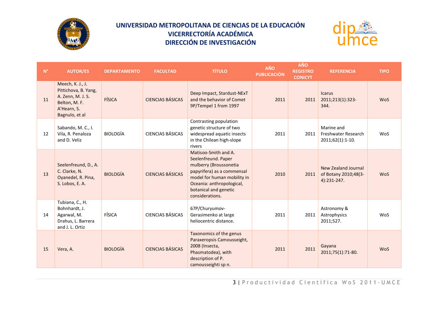



| $\mathsf{N}^\circ$ | <b>AUTOR/ES</b>                                                                                                 | <b>DEPARTAMENTO</b> | <b>FACULTAD</b>         | <b>TÍTULO</b>                                                                                                                                                                                               | AÑO<br><b>PUBLICACIÓN</b> | <b>AÑO</b><br><b>REGISTRO</b><br><b>CONICYT</b> | <b>REFERENCIA</b>                                          | <b>TIPO</b> |
|--------------------|-----------------------------------------------------------------------------------------------------------------|---------------------|-------------------------|-------------------------------------------------------------------------------------------------------------------------------------------------------------------------------------------------------------|---------------------------|-------------------------------------------------|------------------------------------------------------------|-------------|
| 11                 | Meech, K. J., J.<br>Pittichova, B. Yang,<br>A. Zenn, M. J. S.<br>Belton, M. F.<br>A'Hearn, S.<br>Bagnulo, et al | FÍSICA              | <b>CIENCIAS BÁSICAS</b> | Deep Impact, Stardust-NExT<br>and the behavior of Comet<br>9P/Tempel 1 from 1997                                                                                                                            | 2011                      | 2011                                            | <b>Icarus</b><br>2011;213(1):323-<br>344.                  | <b>WoS</b>  |
| 12                 | Sabando, M. C., I.<br>Vila, R. Penaloza<br>and D. Veliz                                                         | <b>BIOLOGÍA</b>     | <b>CIENCIAS BÁSICAS</b> | Contrasting population<br>genetic structure of two<br>widespread aquatic insects<br>in the Chilean high-slope<br>rivers                                                                                     | 2011                      | 2011                                            | Marine and<br>Freshwater Research<br>2011;62(1):1-10.      | WoS         |
| 13                 | Seelenfreund, D., A.<br>C. Clarke, N.<br>Oyanedel, R. Pina,<br>S. Lobos, E. A.                                  | <b>BIOLOGÍA</b>     | <b>CIENCIAS BÁSICAS</b> | Matisoo-Smith and A.<br>Seelenfreund. Paper<br>mulberry (Broussonetia<br>papyrifera) as a commensal<br>model for human mobility in<br>Oceania: anthropological,<br>botanical and genetic<br>considerations. | 2010                      | 2011                                            | New Zealand Journal<br>of Botany 2010;48(3-<br>4):231-247. | WoS         |
| 14                 | Tubiana, C., H.<br>Bohnhardt, J.<br>Agarwal, M.<br>Drahus, L. Barrera<br>and J. L. Ortiz                        | FÍSICA              | <b>CIENCIAS BÁSICAS</b> | 67P/Churyumov-<br>Gerasimenko at large<br>heliocentric distance.                                                                                                                                            | 2011                      | 2011                                            | Astronomy &<br>Astrophysics<br>2011;527.                   | WoS         |
| 15                 | Vera, A.                                                                                                        | <b>BIOLOGÍA</b>     | <b>CIENCIAS BÁSICAS</b> | Taxonomics of the genus<br>Paraxeropsis Camousseight,<br>2008 (Insecta,<br>Phasmatodea), with<br>description of P.<br>camousseighti sp n.                                                                   | 2011                      | 2011                                            | Gayana<br>2011;75(1):71-80.                                | <b>WoS</b>  |